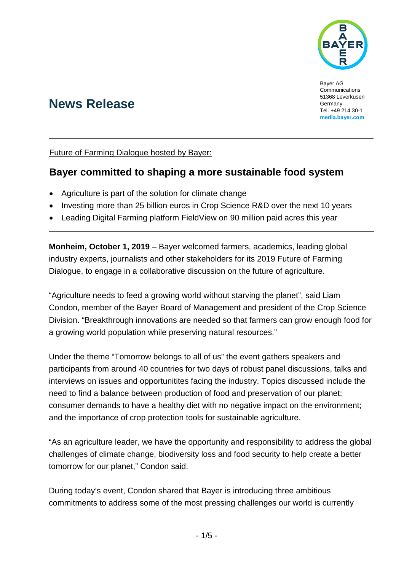

Bayer AG Communications 51368 Leverkusen Germany Tel. +49 214 30-1 **[media.bayer.com](http://media.bayer.de/)**

# **News Release**

Future of Farming Dialogue hosted by Bayer:

## **Bayer committed to shaping a more sustainable food system**

- Agriculture is part of the solution for climate change
- Investing more than 25 billion euros in Crop Science R&D over the next 10 years
- Leading Digital Farming platform FieldView on 90 million paid acres this year

**Monheim, October 1, 2019** – Bayer welcomed farmers, academics, leading global industry experts, journalists and other stakeholders for its 2019 Future of Farming Dialogue, to engage in a collaborative discussion on the future of agriculture.

"Agriculture needs to feed a growing world without starving the planet", said Liam Condon, member of the Bayer Board of Management and president of the Crop Science Division. "Breakthrough innovations are needed so that farmers can grow enough food for a growing world population while preserving natural resources."

Under the theme "Tomorrow belongs to all of us" the event gathers speakers and participants from around 40 countries for two days of robust panel discussions, talks and interviews on issues and opportunitites facing the industry. Topics discussed include the need to find a balance between production of food and preservation of our planet; consumer demands to have a healthy diet with no negative impact on the environment; and the importance of crop protection tools for sustainable agriculture.

"As an agriculture leader, we have the opportunity and responsibility to address the global challenges of climate change, biodiversity loss and food security to help create a better tomorrow for our planet," Condon said.

During today's event, Condon shared that Bayer is introducing three ambitious commitments to address some of the most pressing challenges our world is currently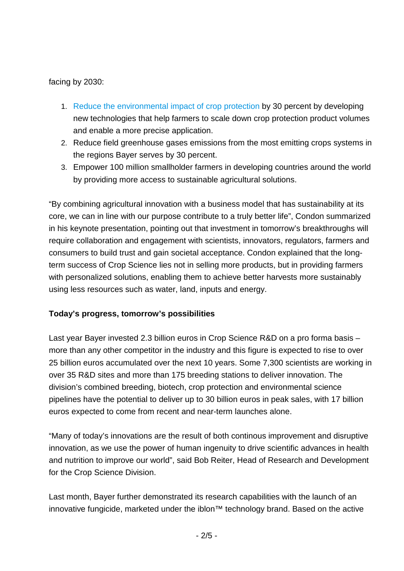facing by 2030:

- 1. [Reduce the environmental impact of crop protection](https://www.media.bayer.com/baynews/baynews.nsf/id/Bayer-raises-the-bar-in-transparency-sustainability-and-engagement?) by 30 percent by developing new technologies that help farmers to scale down crop protection product volumes and enable a more precise application.
- 2. Reduce field greenhouse gases emissions from the most emitting crops systems in the regions Bayer serves by 30 percent.
- 3. Empower 100 million smallholder farmers in developing countries around the world by providing more access to sustainable agricultural solutions.

"By combining agricultural innovation with a business model that has sustainability at its core, we can in line with our purpose contribute to a truly better life", Condon summarized in his keynote presentation, pointing out that investment in tomorrow's breakthroughs will require collaboration and engagement with scientists, innovators, regulators, farmers and consumers to build trust and gain societal acceptance. Condon explained that the longterm success of Crop Science lies not in selling more products, but in providing farmers with personalized solutions, enabling them to achieve better harvests more sustainably using less resources such as water, land, inputs and energy.

#### **Today's progress, tomorrow's possibilities**

Last year Bayer invested 2.3 billion euros in Crop Science R&D on a pro forma basis – more than any other competitor in the industry and this figure is expected to rise to over 25 billion euros accumulated over the next 10 years. Some 7,300 scientists are working in over 35 R&D sites and more than 175 breeding stations to deliver innovation. The division's combined breeding, biotech, crop protection and environmental science pipelines have the potential to deliver up to 30 billion euros in peak sales, with 17 billion euros expected to come from recent and near-term launches alone.

"Many of today's innovations are the result of both continous improvement and disruptive innovation, as we use the power of human ingenuity to drive scientific advances in health and nutrition to improve our world", said Bob Reiter, Head of Research and Development for the Crop Science Division.

Last month, Bayer further demonstrated its research capabilities with the launch of an innovative fungicide, marketed under the iblon™ technology brand. Based on the active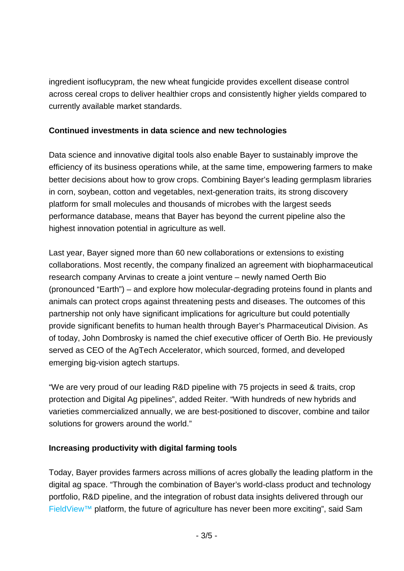ingredient isoflucypram, the new wheat fungicide provides excellent disease control across cereal crops to deliver healthier crops and consistently higher yields compared to currently available market standards.

### **Continued investments in data science and new technologies**

Data science and innovative digital tools also enable Bayer to sustainably improve the efficiency of its business operations while, at the same time, empowering farmers to make better decisions about how to grow crops. Combining Bayer's leading germplasm libraries in corn, soybean, cotton and vegetables, next-generation traits, its strong discovery platform for small molecules and thousands of microbes with the largest seeds performance database, means that Bayer has beyond the current pipeline also the highest innovation potential in agriculture as well.

Last year, Bayer signed more than 60 new collaborations or extensions to existing collaborations. Most recently, the company finalized an agreement with biopharmaceutical research company Arvinas to create a joint venture – newly named Oerth Bio (pronounced "Earth") – and explore how molecular-degrading proteins found in plants and animals can protect crops against threatening pests and diseases. The outcomes of this partnership not only have significant implications for agriculture but could potentially provide significant benefits to human health through Bayer's Pharmaceutical Division. As of today, John Dombrosky is named the chief executive officer of Oerth Bio. He previously served as CEO of the AgTech Accelerator, which sourced, formed, and developed emerging big-vision agtech startups.

"We are very proud of our leading R&D pipeline with 75 projects in seed & traits, crop protection and Digital Ag pipelines", added Reiter. "With hundreds of new hybrids and varieties commercialized annually, we are best-positioned to discover, combine and tailor solutions for growers around the world."

#### **Increasing productivity with digital farming tools**

Today, Bayer provides farmers across millions of acres globally the leading platform in the digital ag space. "Through the combination of Bayer's world-class product and technology portfolio, R&D pipeline, and the integration of robust data insights delivered through our [FieldView™](https://climate.com/) platform, the future of agriculture has never been more exciting", said Sam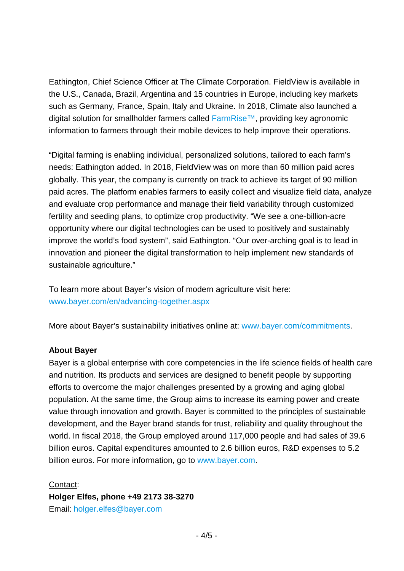Eathington, Chief Science Officer at The Climate Corporation. FieldView is available in the U.S., Canada, Brazil, Argentina and 15 countries in Europe, including key markets such as Germany, France, Spain, Italy and Ukraine. In 2018, Climate also launched a digital solution for smallholder farmers called [FarmRise™,](https://climate.com/climate-farmrise) providing key agronomic information to farmers through their mobile devices to help improve their operations.

"Digital farming is enabling individual, personalized solutions, tailored to each farm's needs: Eathington added. In 2018, FieldView was on more than 60 million paid acres globally. This year, the company is currently on track to achieve its target of 90 million paid acres. The platform enables farmers to easily collect and visualize field data, analyze and evaluate crop performance and manage their field variability through customized fertility and seeding plans, to optimize crop productivity. "We see a one-billion-acre opportunity where our digital technologies can be used to positively and sustainably improve the world's food system", said Eathington. "Our over-arching goal is to lead in innovation and pioneer the digital transformation to help implement new standards of sustainable agriculture."

To learn more about Bayer's vision of modern agriculture visit here: [www.bayer.com/en/advancing-together.aspx](https://www.bayer.com/en/advancing-together.aspx)

More about Bayer's sustainability initiatives online at: [www.bayer.com/commitments.](http://www.bayer.com/commitments)

#### **About Bayer**

Bayer is a global enterprise with core competencies in the life science fields of health care and nutrition. Its products and services are designed to benefit people by supporting efforts to overcome the major challenges presented by a growing and aging global population. At the same time, the Group aims to increase its earning power and create value through innovation and growth. Bayer is committed to the principles of sustainable development, and the Bayer brand stands for trust, reliability and quality throughout the world. In fiscal 2018, the Group employed around 117,000 people and had sales of 39.6 billion euros. Capital expenditures amounted to 2.6 billion euros, R&D expenses to 5.2 billion euros. For more information, go to [www.bayer.com.](http://www.bayer.com/)

Contact:

**Holger Elfes, phone +49 2173 38-3270**

Email: [holger.elfes@bayer.com](mailto:holger.elfes@bayer.com)